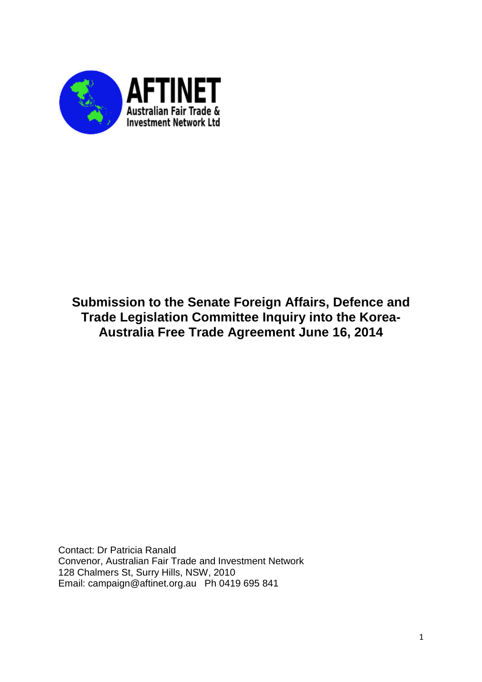

# **Submission to the Senate Foreign Affairs, Defence and Trade Legislation Committee Inquiry into the Korea-Australia Free Trade Agreement June 16, 2014**

Contact: Dr Patricia Ranald Convenor, Australian Fair Trade and Investment Network 128 Chalmers St, Surry Hills, NSW, 2010 Email: campaign@aftinet.org.au Ph 0419 695 841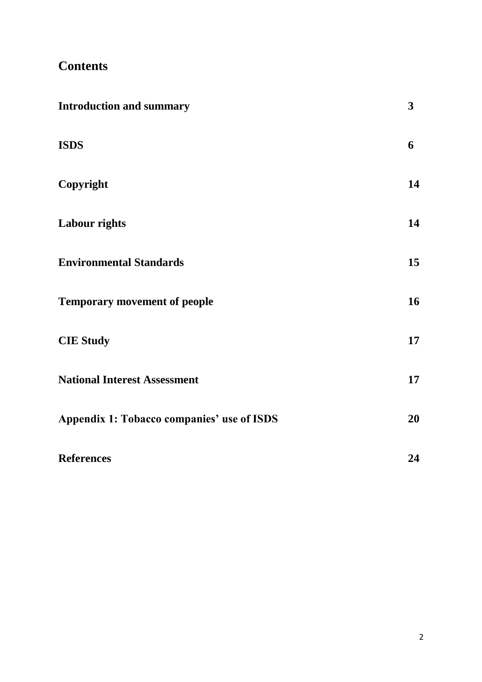# **Contents**

| <b>Introduction and summary</b>                   | $\mathbf{3}$ |
|---------------------------------------------------|--------------|
| <b>ISDS</b>                                       | 6            |
| Copyright                                         | 14           |
| <b>Labour rights</b>                              | 14           |
| <b>Environmental Standards</b>                    | 15           |
| <b>Temporary movement of people</b>               | 16           |
| <b>CIE Study</b>                                  | 17           |
| <b>National Interest Assessment</b>               | 17           |
| <b>Appendix 1: Tobacco companies' use of ISDS</b> | 20           |
| <b>References</b>                                 | 24           |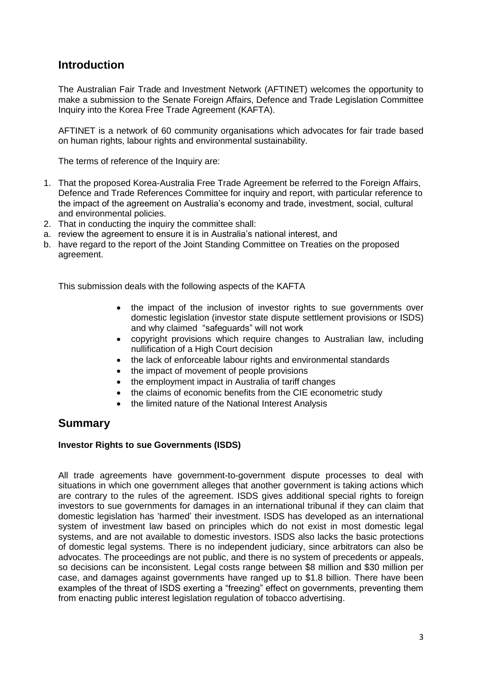# **Introduction**

The Australian Fair Trade and Investment Network (AFTINET) welcomes the opportunity to make a submission to the Senate Foreign Affairs, Defence and Trade Legislation Committee Inquiry into the Korea Free Trade Agreement (KAFTA).

AFTINET is a network of 60 community organisations which advocates for fair trade based on human rights, labour rights and environmental sustainability.

The terms of reference of the Inquiry are:

- 1. That the proposed Korea-Australia Free Trade Agreement be referred to the Foreign Affairs, Defence and Trade References Committee for inquiry and report, with particular reference to the impact of the agreement on Australia's economy and trade, investment, social, cultural and environmental policies.
- 2. That in conducting the inquiry the committee shall:
- a. review the agreement to ensure it is in Australia's national interest, and
- b. have regard to the report of the Joint Standing Committee on Treaties on the proposed agreement.

This submission deals with the following aspects of the KAFTA

- the impact of the inclusion of investor rights to sue governments over domestic legislation (investor state dispute settlement provisions or ISDS) and why claimed "safeguards" will not work
- copyright provisions which require changes to Australian law, including nullification of a High Court decision
- the lack of enforceable labour rights and environmental standards
- the impact of movement of people provisions
- the employment impact in Australia of tariff changes
- the claims of economic benefits from the CIE econometric study
- the limited nature of the National Interest Analysis

### **Summary**

#### **Investor Rights to sue Governments (ISDS)**

All trade agreements have government-to-government dispute processes to deal with situations in which one government alleges that another government is taking actions which are contrary to the rules of the agreement. ISDS gives additional special rights to foreign investors to sue governments for damages in an international tribunal if they can claim that domestic legislation has 'harmed' their investment. ISDS has developed as an international system of investment law based on principles which do not exist in most domestic legal systems, and are not available to domestic investors. ISDS also lacks the basic protections of domestic legal systems. There is no independent judiciary, since arbitrators can also be advocates. The proceedings are not public, and there is no system of precedents or appeals, so decisions can be inconsistent. Legal costs range between \$8 million and \$30 million per case, and damages against governments have ranged up to \$1.8 billion. There have been examples of the threat of ISDS exerting a "freezing" effect on governments, preventing them from enacting public interest legislation regulation of tobacco advertising.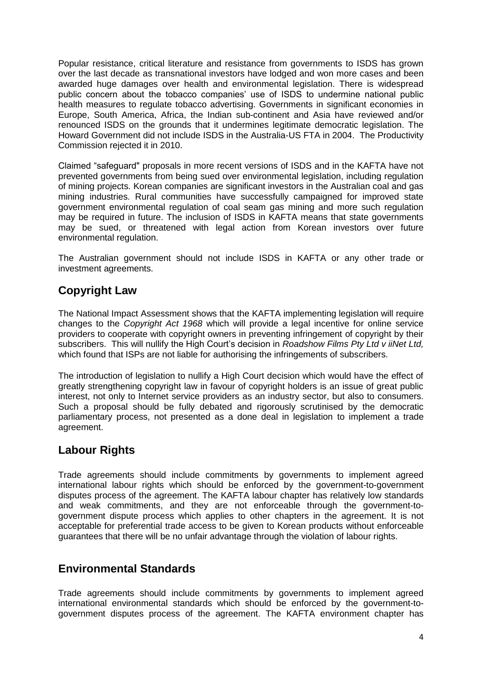Popular resistance, critical literature and resistance from governments to ISDS has grown over the last decade as transnational investors have lodged and won more cases and been awarded huge damages over health and environmental legislation. There is widespread public concern about the tobacco companies' use of ISDS to undermine national public health measures to regulate tobacco advertising. Governments in significant economies in Europe, South America, Africa, the Indian sub-continent and Asia have reviewed and/or renounced ISDS on the grounds that it undermines legitimate democratic legislation. The Howard Government did not include ISDS in the Australia-US FTA in 2004. The Productivity Commission rejected it in 2010.

Claimed "safeguard" proposals in more recent versions of ISDS and in the KAFTA have not prevented governments from being sued over environmental legislation, including regulation of mining projects. Korean companies are significant investors in the Australian coal and gas mining industries. Rural communities have successfully campaigned for improved state government environmental regulation of coal seam gas mining and more such regulation may be required in future. The inclusion of ISDS in KAFTA means that state governments may be sued, or threatened with legal action from Korean investors over future environmental regulation.

The Australian government should not include ISDS in KAFTA or any other trade or investment agreements.

# **Copyright Law**

The National Impact Assessment shows that the KAFTA implementing legislation will require changes to the *Copyright Act 1968* which will provide a legal incentive for online service providers to cooperate with copyright owners in preventing infringement of copyright by their subscribers. This will nullify the High Court's decision in *Roadshow Films Pty Ltd v iiNet Ltd,*  which found that ISPs are not liable for authorising the infringements of subscribers.

The introduction of legislation to nullify a High Court decision which would have the effect of greatly strengthening copyright law in favour of copyright holders is an issue of great public interest, not only to Internet service providers as an industry sector, but also to consumers. Such a proposal should be fully debated and rigorously scrutinised by the democratic parliamentary process, not presented as a done deal in legislation to implement a trade agreement.

# **Labour Rights**

Trade agreements should include commitments by governments to implement agreed international labour rights which should be enforced by the government-to-government disputes process of the agreement. The KAFTA labour chapter has relatively low standards and weak commitments, and they are not enforceable through the government-togovernment dispute process which applies to other chapters in the agreement. It is not acceptable for preferential trade access to be given to Korean products without enforceable guarantees that there will be no unfair advantage through the violation of labour rights.

# **Environmental Standards**

Trade agreements should include commitments by governments to implement agreed international environmental standards which should be enforced by the government-togovernment disputes process of the agreement. The KAFTA environment chapter has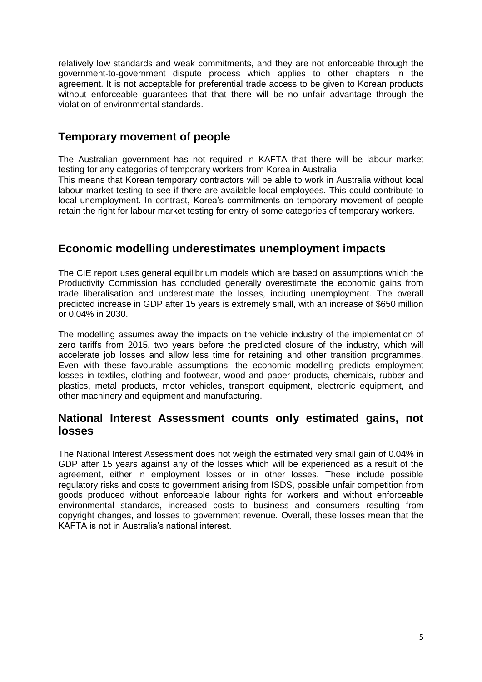relatively low standards and weak commitments, and they are not enforceable through the government-to-government dispute process which applies to other chapters in the agreement. It is not acceptable for preferential trade access to be given to Korean products without enforceable quarantees that that there will be no unfair advantage through the violation of environmental standards.

### **Temporary movement of people**

The Australian government has not required in KAFTA that there will be labour market testing for any categories of temporary workers from Korea in Australia.

This means that Korean temporary contractors will be able to work in Australia without local labour market testing to see if there are available local employees. This could contribute to local unemployment. In contrast, Korea's commitments on temporary movement of people retain the right for labour market testing for entry of some categories of temporary workers.

## **Economic modelling underestimates unemployment impacts**

The CIE report uses general equilibrium models which are based on assumptions which the Productivity Commission has concluded generally overestimate the economic gains from trade liberalisation and underestimate the losses, including unemployment. The overall predicted increase in GDP after 15 years is extremely small, with an increase of \$650 million or 0.04% in 2030.

The modelling assumes away the impacts on the vehicle industry of the implementation of zero tariffs from 2015, two years before the predicted closure of the industry, which will accelerate job losses and allow less time for retaining and other transition programmes. Even with these favourable assumptions, the economic modelling predicts employment losses in textiles, clothing and footwear, wood and paper products, chemicals, rubber and plastics, metal products, motor vehicles, transport equipment, electronic equipment, and other machinery and equipment and manufacturing.

### **National Interest Assessment counts only estimated gains, not losses**

The National Interest Assessment does not weigh the estimated very small gain of 0.04% in GDP after 15 years against any of the losses which will be experienced as a result of the agreement, either in employment losses or in other losses. These include possible regulatory risks and costs to government arising from ISDS, possible unfair competition from goods produced without enforceable labour rights for workers and without enforceable environmental standards, increased costs to business and consumers resulting from copyright changes, and losses to government revenue. Overall, these losses mean that the KAFTA is not in Australia's national interest.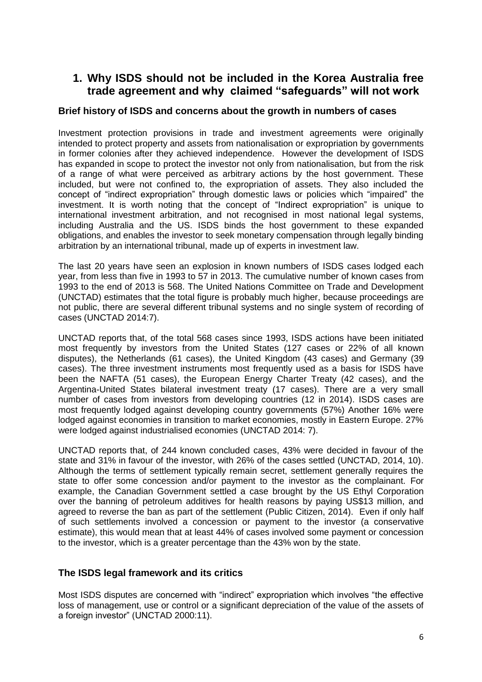## **1. Why ISDS should not be included in the Korea Australia free trade agreement and why claimed "safeguards" will not work**

#### **Brief history of ISDS and concerns about the growth in numbers of cases**

Investment protection provisions in trade and investment agreements were originally intended to protect property and assets from nationalisation or expropriation by governments in former colonies after they achieved independence. However the development of ISDS has expanded in scope to protect the investor not only from nationalisation, but from the risk of a range of what were perceived as arbitrary actions by the host government. These included, but were not confined to, the expropriation of assets. They also included the concept of "indirect expropriation" through domestic laws or policies which "impaired" the investment. It is worth noting that the concept of "Indirect expropriation" is unique to international investment arbitration, and not recognised in most national legal systems, including Australia and the US. ISDS binds the host government to these expanded obligations, and enables the investor to seek monetary compensation through legally binding arbitration by an international tribunal, made up of experts in investment law.

The last 20 years have seen an explosion in known numbers of ISDS cases lodged each year, from less than five in 1993 to 57 in 2013. The cumulative number of known cases from 1993 to the end of 2013 is 568. The United Nations Committee on Trade and Development (UNCTAD) estimates that the total figure is probably much higher, because proceedings are not public, there are several different tribunal systems and no single system of recording of cases (UNCTAD 2014:7).

UNCTAD reports that, of the total 568 cases since 1993, ISDS actions have been initiated most frequently by investors from the United States (127 cases or 22% of all known disputes), the Netherlands (61 cases), the United Kingdom (43 cases) and Germany (39 cases). The three investment instruments most frequently used as a basis for ISDS have been the NAFTA (51 cases), the European Energy Charter Treaty (42 cases), and the Argentina-United States bilateral investment treaty (17 cases). There are a very small number of cases from investors from developing countries (12 in 2014). ISDS cases are most frequently lodged against developing country governments (57%) Another 16% were lodged against economies in transition to market economies, mostly in Eastern Europe. 27% were lodged against industrialised economies (UNCTAD 2014: 7).

UNCTAD reports that, of 244 known concluded cases, 43% were decided in favour of the state and 31% in favour of the investor, with 26% of the cases settled (UNCTAD, 2014, 10). Although the terms of settlement typically remain secret, settlement generally requires the state to offer some concession and/or payment to the investor as the complainant. For example, the Canadian Government settled a case brought by the US Ethyl Corporation over the banning of petroleum additives for health reasons by paying US\$13 million, and agreed to reverse the ban as part of the settlement (Public Citizen, 2014). Even if only half of such settlements involved a concession or payment to the investor (a conservative estimate), this would mean that at least 44% of cases involved some payment or concession to the investor, which is a greater percentage than the 43% won by the state.

#### **The ISDS legal framework and its critics**

Most ISDS disputes are concerned with "indirect" expropriation which involves "the effective loss of management, use or control or a significant depreciation of the value of the assets of a foreign investor" (UNCTAD 2000:11).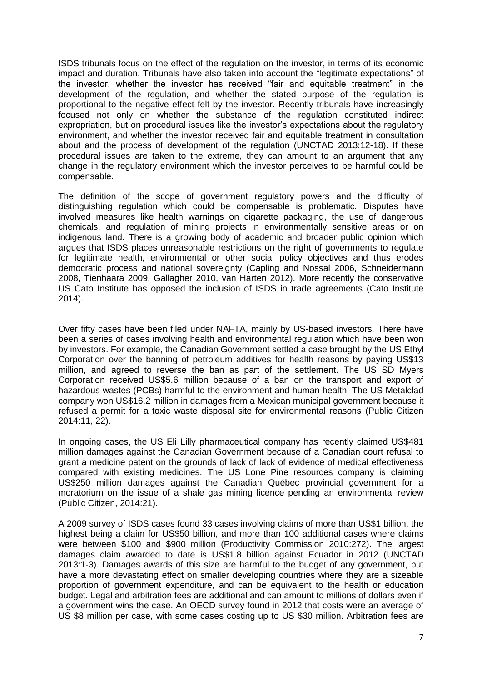ISDS tribunals focus on the effect of the regulation on the investor, in terms of its economic impact and duration. Tribunals have also taken into account the "legitimate expectations" of the investor, whether the investor has received "fair and equitable treatment" in the development of the regulation, and whether the stated purpose of the regulation is proportional to the negative effect felt by the investor. Recently tribunals have increasingly focused not only on whether the substance of the regulation constituted indirect expropriation, but on procedural issues like the investor's expectations about the regulatory environment, and whether the investor received fair and equitable treatment in consultation about and the process of development of the regulation (UNCTAD 2013:12-18). If these procedural issues are taken to the extreme, they can amount to an argument that any change in the regulatory environment which the investor perceives to be harmful could be compensable.

The definition of the scope of government regulatory powers and the difficulty of distinguishing regulation which could be compensable is problematic. Disputes have involved measures like health warnings on cigarette packaging, the use of dangerous chemicals, and regulation of mining projects in environmentally sensitive areas or on indigenous land. There is a growing body of academic and broader public opinion which argues that ISDS places unreasonable restrictions on the right of governments to regulate for legitimate health, environmental or other social policy objectives and thus erodes democratic process and national sovereignty (Capling and Nossal 2006, Schneidermann 2008, Tienhaara 2009, Gallagher 2010, van Harten 2012). More recently the conservative US Cato Institute has opposed the inclusion of ISDS in trade agreements (Cato Institute 2014).

Over fifty cases have been filed under NAFTA, mainly by US-based investors. There have been a series of cases involving health and environmental regulation which have been won by investors. For example, the Canadian Government settled a case brought by the US Ethyl Corporation over the banning of petroleum additives for health reasons by paying US\$13 million, and agreed to reverse the ban as part of the settlement. The US SD Myers Corporation received US\$5.6 million because of a ban on the transport and export of hazardous wastes (PCBs) harmful to the environment and human health. The US Metalclad company won US\$16.2 million in damages from a Mexican municipal government because it refused a permit for a toxic waste disposal site for environmental reasons (Public Citizen 2014:11, 22).

In ongoing cases, the US Eli Lilly pharmaceutical company has recently claimed US\$481 million damages against the Canadian Government because of a Canadian court refusal to grant a medicine patent on the grounds of lack of lack of evidence of medical effectiveness compared with existing medicines. The US Lone Pine resources company is claiming US\$250 million damages against the Canadian Québec provincial government for a moratorium on the issue of a shale gas mining licence pending an environmental review (Public Citizen, 2014:21).

A 2009 survey of ISDS cases found 33 cases involving claims of more than US\$1 billion, the highest being a claim for US\$50 billion, and more than 100 additional cases where claims were between \$100 and \$900 million (Productivity Commission 2010:272). The largest damages claim awarded to date is US\$1.8 billion against Ecuador in 2012 (UNCTAD 2013:1-3). Damages awards of this size are harmful to the budget of any government, but have a more devastating effect on smaller developing countries where they are a sizeable proportion of government expenditure, and can be equivalent to the health or education budget. Legal and arbitration fees are additional and can amount to millions of dollars even if a government wins the case. An OECD survey found in 2012 that costs were an average of US \$8 million per case, with some cases costing up to US \$30 million. Arbitration fees are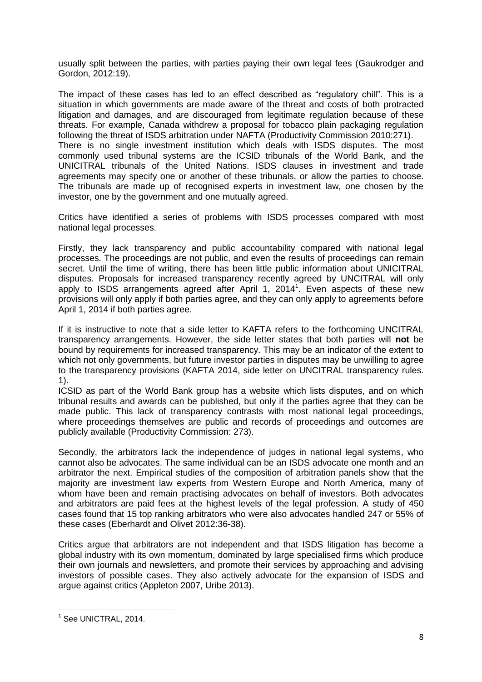usually split between the parties, with parties paying their own legal fees (Gaukrodger and Gordon, 2012:19).

The impact of these cases has led to an effect described as "regulatory chill". This is a situation in which governments are made aware of the threat and costs of both protracted litigation and damages, and are discouraged from legitimate regulation because of these threats. For example, Canada withdrew a proposal for tobacco plain packaging regulation following the threat of ISDS arbitration under NAFTA (Productivity Commission 2010:271). There is no single investment institution which deals with ISDS disputes. The most commonly used tribunal systems are the ICSID tribunals of the World Bank, and the UNICITRAL tribunals of the United Nations. ISDS clauses in investment and trade agreements may specify one or another of these tribunals, or allow the parties to choose. The tribunals are made up of recognised experts in investment law, one chosen by the investor, one by the government and one mutually agreed.

Critics have identified a series of problems with ISDS processes compared with most national legal processes.

Firstly, they lack transparency and public accountability compared with national legal processes. The proceedings are not public, and even the results of proceedings can remain secret. Until the time of writing, there has been little public information about UNICITRAL disputes. Proposals for increased transparency recently agreed by UNCITRAL will only apply to ISDS arrangements agreed after April 1,  $2014<sup>1</sup>$ . Even aspects of these new provisions will only apply if both parties agree, and they can only apply to agreements before April 1, 2014 if both parties agree.

If it is instructive to note that a side letter to KAFTA refers to the forthcoming UNCITRAL transparency arrangements. However, the side letter states that both parties will **not** be bound by requirements for increased transparency. This may be an indicator of the extent to which not only governments, but future investor parties in disputes may be unwilling to agree to the transparency provisions (KAFTA 2014, side letter on UNCITRAL transparency rules. 1).

ICSID as part of the World Bank group has a website which lists disputes, and on which tribunal results and awards can be published, but only if the parties agree that they can be made public. This lack of transparency contrasts with most national legal proceedings, where proceedings themselves are public and records of proceedings and outcomes are publicly available (Productivity Commission: 273).

Secondly, the arbitrators lack the independence of judges in national legal systems, who cannot also be advocates. The same individual can be an ISDS advocate one month and an arbitrator the next. Empirical studies of the composition of arbitration panels show that the majority are investment law experts from Western Europe and North America, many of whom have been and remain practising advocates on behalf of investors. Both advocates and arbitrators are paid fees at the highest levels of the legal profession. A study of 450 cases found that 15 top ranking arbitrators who were also advocates handled 247 or 55% of these cases (Eberhardt and Olivet 2012:36-38).

Critics argue that arbitrators are not independent and that ISDS litigation has become a global industry with its own momentum, dominated by large specialised firms which produce their own journals and newsletters, and promote their services by approaching and advising investors of possible cases. They also actively advocate for the expansion of ISDS and argue against critics (Appleton 2007, Uribe 2013).

1

<sup>1</sup> See UNICTRAL, 2014.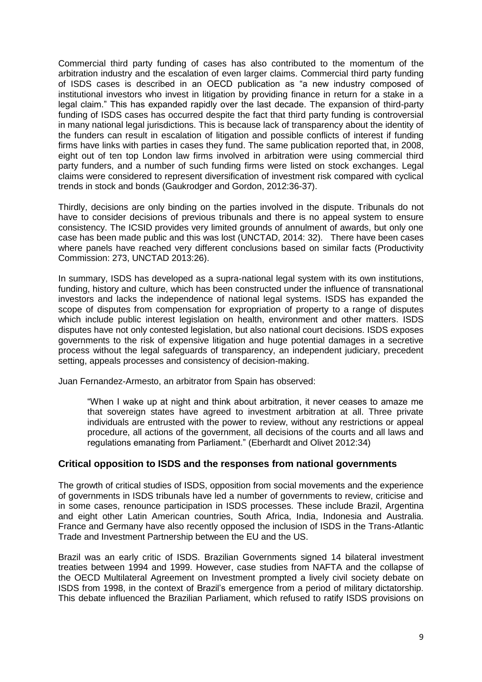Commercial third party funding of cases has also contributed to the momentum of the arbitration industry and the escalation of even larger claims. Commercial third party funding of ISDS cases is described in an OECD publication as "a new industry composed of institutional investors who invest in litigation by providing finance in return for a stake in a legal claim." This has expanded rapidly over the last decade. The expansion of third-party funding of ISDS cases has occurred despite the fact that third party funding is controversial in many national legal jurisdictions. This is because lack of transparency about the identity of the funders can result in escalation of litigation and possible conflicts of interest if funding firms have links with parties in cases they fund. The same publication reported that, in 2008, eight out of ten top London law firms involved in arbitration were using commercial third party funders, and a number of such funding firms were listed on stock exchanges. Legal claims were considered to represent diversification of investment risk compared with cyclical trends in stock and bonds (Gaukrodger and Gordon, 2012:36-37).

Thirdly, decisions are only binding on the parties involved in the dispute. Tribunals do not have to consider decisions of previous tribunals and there is no appeal system to ensure consistency. The ICSID provides very limited grounds of annulment of awards, but only one case has been made public and this was lost (UNCTAD, 2014: 32). There have been cases where panels have reached very different conclusions based on similar facts (Productivity Commission: 273, UNCTAD 2013:26).

In summary, ISDS has developed as a supra-national legal system with its own institutions, funding, history and culture, which has been constructed under the influence of transnational investors and lacks the independence of national legal systems. ISDS has expanded the scope of disputes from compensation for expropriation of property to a range of disputes which include public interest legislation on health, environment and other matters. ISDS disputes have not only contested legislation, but also national court decisions. ISDS exposes governments to the risk of expensive litigation and huge potential damages in a secretive process without the legal safeguards of transparency, an independent judiciary, precedent setting, appeals processes and consistency of decision-making.

Juan Fernandez-Armesto, an arbitrator from Spain has observed:

"When I wake up at night and think about arbitration, it never ceases to amaze me that sovereign states have agreed to investment arbitration at all. Three private individuals are entrusted with the power to review, without any restrictions or appeal procedure, all actions of the government, all decisions of the courts and all laws and regulations emanating from Parliament." (Eberhardt and Olivet 2012:34)

#### **Critical opposition to ISDS and the responses from national governments**

The growth of critical studies of ISDS, opposition from social movements and the experience of governments in ISDS tribunals have led a number of governments to review, criticise and in some cases, renounce participation in ISDS processes. These include Brazil, Argentina and eight other Latin American countries, South Africa, India, Indonesia and Australia. France and Germany have also recently opposed the inclusion of ISDS in the Trans-Atlantic Trade and Investment Partnership between the EU and the US.

Brazil was an early critic of ISDS. Brazilian Governments signed 14 bilateral investment treaties between 1994 and 1999. However, case studies from NAFTA and the collapse of the OECD Multilateral Agreement on Investment prompted a lively civil society debate on ISDS from 1998, in the context of Brazil's emergence from a period of military dictatorship. This debate influenced the Brazilian Parliament, which refused to ratify ISDS provisions on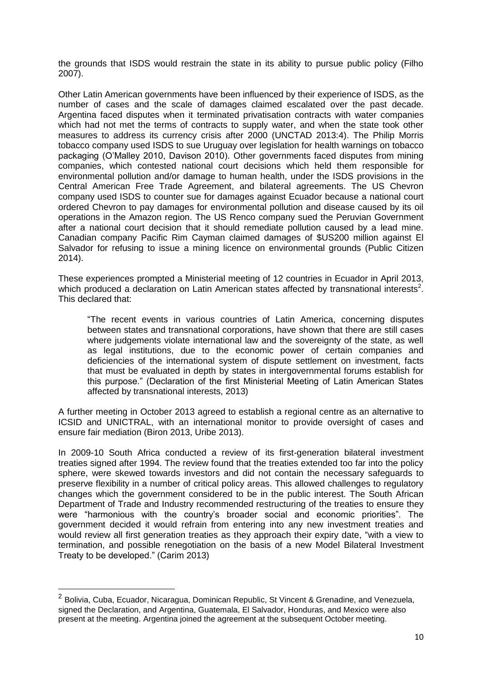the grounds that ISDS would restrain the state in its ability to pursue public policy (Filho 2007).

Other Latin American governments have been influenced by their experience of ISDS, as the number of cases and the scale of damages claimed escalated over the past decade. Argentina faced disputes when it terminated privatisation contracts with water companies which had not met the terms of contracts to supply water, and when the state took other measures to address its currency crisis after 2000 (UNCTAD 2013:4). The Philip Morris tobacco company used ISDS to sue Uruguay over legislation for health warnings on tobacco packaging (O'Malley 2010, Davison 2010). Other governments faced disputes from mining companies, which contested national court decisions which held them responsible for environmental pollution and/or damage to human health, under the ISDS provisions in the Central American Free Trade Agreement, and bilateral agreements. The US Chevron company used ISDS to counter sue for damages against Ecuador because a national court ordered Chevron to pay damages for environmental pollution and disease caused by its oil operations in the Amazon region. The US Renco company sued the Peruvian Government after a national court decision that it should remediate pollution caused by a lead mine. Canadian company Pacific Rim Cayman claimed damages of \$US200 million against El Salvador for refusing to issue a mining licence on environmental grounds (Public Citizen 2014).

These experiences prompted a Ministerial meeting of 12 countries in Ecuador in April 2013, which produced a declaration on Latin American states affected by transnational interests<sup>2</sup>. This declared that:

"The recent events in various countries of Latin America, concerning disputes between states and transnational corporations, have shown that there are still cases where judgements violate international law and the sovereignty of the state, as well as legal institutions, due to the economic power of certain companies and deficiencies of the international system of dispute settlement on investment, facts that must be evaluated in depth by states in intergovernmental forums establish for this purpose." (Declaration of the first Ministerial Meeting of Latin American States affected by transnational interests, 2013)

A further meeting in October 2013 agreed to establish a regional centre as an alternative to ICSID and UNICTRAL, with an international monitor to provide oversight of cases and ensure fair mediation (Biron 2013, Uribe 2013).

In 2009-10 South Africa conducted a review of its first-generation bilateral investment treaties signed after 1994. The review found that the treaties extended too far into the policy sphere, were skewed towards investors and did not contain the necessary safeguards to preserve flexibility in a number of critical policy areas. This allowed challenges to regulatory changes which the government considered to be in the public interest. The South African Department of Trade and Industry recommended restructuring of the treaties to ensure they were "harmonious with the country's broader social and economic priorities". The government decided it would refrain from entering into any new investment treaties and would review all first generation treaties as they approach their expiry date, "with a view to termination, and possible renegotiation on the basis of a new Model Bilateral Investment Treaty to be developed." (Carim 2013)

<u>.</u>

<sup>&</sup>lt;sup>2</sup> Bolivia, Cuba, Ecuador, Nicaragua, Dominican Republic, St Vincent & Grenadine, and Venezuela, signed the Declaration, and Argentina, Guatemala, El Salvador, Honduras, and Mexico were also present at the meeting. Argentina joined the agreement at the subsequent October meeting.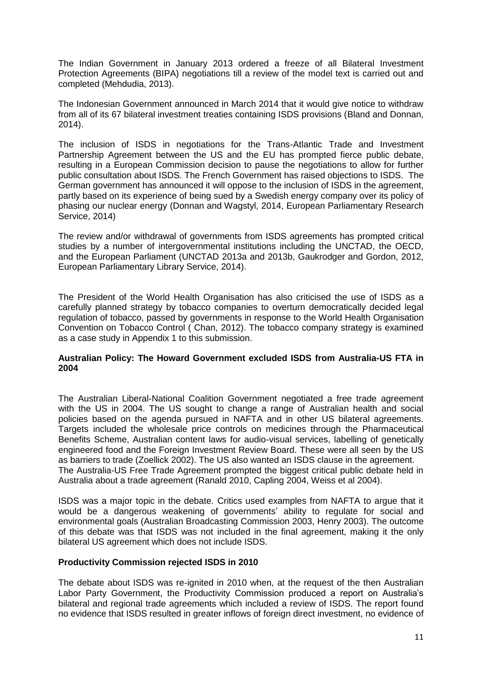The Indian Government in January 2013 ordered a freeze of all Bilateral Investment Protection Agreements (BIPA) negotiations till a review of the model text is carried out and completed (Mehdudia, 2013).

The Indonesian Government announced in March 2014 that it would give notice to withdraw from all of its 67 bilateral investment treaties containing ISDS provisions (Bland and Donnan, 2014).

The inclusion of ISDS in negotiations for the Trans-Atlantic Trade and Investment Partnership Agreement between the US and the EU has prompted fierce public debate, resulting in a European Commission decision to pause the negotiations to allow for further public consultation about ISDS. The French Government has raised objections to ISDS. The German government has announced it will oppose to the inclusion of ISDS in the agreement, partly based on its experience of being sued by a Swedish energy company over its policy of phasing our nuclear energy (Donnan and Wagstyl, 2014, European Parliamentary Research Service, 2014)

The review and/or withdrawal of governments from ISDS agreements has prompted critical studies by a number of intergovernmental institutions including the UNCTAD, the OECD, and the European Parliament (UNCTAD 2013a and 2013b, Gaukrodger and Gordon, 2012, European Parliamentary Library Service, 2014).

The President of the World Health Organisation has also criticised the use of ISDS as a carefully planned strategy by tobacco companies to overturn democratically decided legal regulation of tobacco, passed by governments in response to the World Health Organisation Convention on Tobacco Control ( Chan, 2012). The tobacco company strategy is examined as a case study in Appendix 1 to this submission.

#### **Australian Policy: The Howard Government excluded ISDS from Australia-US FTA in 2004**

The Australian Liberal-National Coalition Government negotiated a free trade agreement with the US in 2004. The US sought to change a range of Australian health and social policies based on the agenda pursued in NAFTA and in other US bilateral agreements. Targets included the wholesale price controls on medicines through the Pharmaceutical Benefits Scheme, Australian content laws for audio-visual services, labelling of genetically engineered food and the Foreign Investment Review Board. These were all seen by the US as barriers to trade (Zoellick 2002). The US also wanted an ISDS clause in the agreement. The Australia-US Free Trade Agreement prompted the biggest critical public debate held in Australia about a trade agreement (Ranald 2010, Capling 2004, Weiss et al 2004).

ISDS was a major topic in the debate. Critics used examples from NAFTA to argue that it would be a dangerous weakening of governments' ability to regulate for social and environmental goals (Australian Broadcasting Commission 2003, Henry 2003). The outcome of this debate was that ISDS was not included in the final agreement, making it the only bilateral US agreement which does not include ISDS.

#### **Productivity Commission rejected ISDS in 2010**

The debate about ISDS was re-ignited in 2010 when, at the request of the then Australian Labor Party Government, the Productivity Commission produced a report on Australia's bilateral and regional trade agreements which included a review of ISDS. The report found no evidence that ISDS resulted in greater inflows of foreign direct investment, no evidence of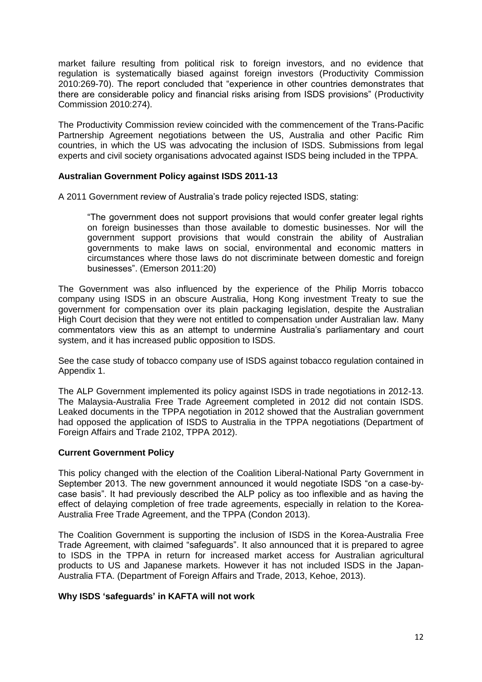market failure resulting from political risk to foreign investors, and no evidence that regulation is systematically biased against foreign investors (Productivity Commission 2010:269-70). The report concluded that "experience in other countries demonstrates that there are considerable policy and financial risks arising from ISDS provisions" (Productivity Commission 2010:274).

The Productivity Commission review coincided with the commencement of the Trans-Pacific Partnership Agreement negotiations between the US, Australia and other Pacific Rim countries, in which the US was advocating the inclusion of ISDS. Submissions from legal experts and civil society organisations advocated against ISDS being included in the TPPA.

#### **Australian Government Policy against ISDS 2011-13**

A 2011 Government review of Australia's trade policy rejected ISDS, stating:

"The government does not support provisions that would confer greater legal rights on foreign businesses than those available to domestic businesses. Nor will the government support provisions that would constrain the ability of Australian governments to make laws on social, environmental and economic matters in circumstances where those laws do not discriminate between domestic and foreign businesses". (Emerson 2011:20)

The Government was also influenced by the experience of the Philip Morris tobacco company using ISDS in an obscure Australia, Hong Kong investment Treaty to sue the government for compensation over its plain packaging legislation, despite the Australian High Court decision that they were not entitled to compensation under Australian law. Many commentators view this as an attempt to undermine Australia's parliamentary and court system, and it has increased public opposition to ISDS.

See the case study of tobacco company use of ISDS against tobacco regulation contained in Appendix 1.

The ALP Government implemented its policy against ISDS in trade negotiations in 2012-13. The Malaysia-Australia Free Trade Agreement completed in 2012 did not contain ISDS. Leaked documents in the TPPA negotiation in 2012 showed that the Australian government had opposed the application of ISDS to Australia in the TPPA negotiations (Department of Foreign Affairs and Trade 2102, TPPA 2012).

#### **Current Government Policy**

This policy changed with the election of the Coalition Liberal-National Party Government in September 2013. The new government announced it would negotiate ISDS "on a case-bycase basis". It had previously described the ALP policy as too inflexible and as having the effect of delaying completion of free trade agreements, especially in relation to the Korea-Australia Free Trade Agreement, and the TPPA (Condon 2013).

The Coalition Government is supporting the inclusion of ISDS in the Korea-Australia Free Trade Agreement, with claimed "safeguards". It also announced that it is prepared to agree to ISDS in the TPPA in return for increased market access for Australian agricultural products to US and Japanese markets. However it has not included ISDS in the Japan-Australia FTA. (Department of Foreign Affairs and Trade, 2013, Kehoe, 2013).

#### **Why ISDS 'safeguards' in KAFTA will not work**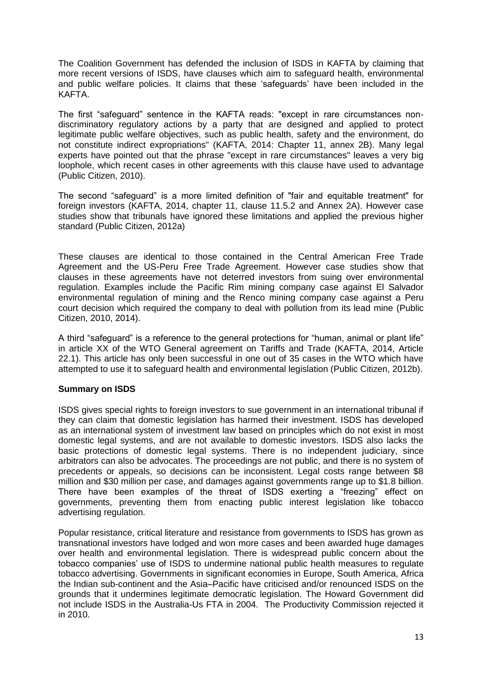The Coalition Government has defended the inclusion of ISDS in KAFTA by claiming that more recent versions of ISDS, have clauses which aim to safeguard health, environmental and public welfare policies. It claims that these 'safeguards' have been included in the KAFTA.

The first "safeguard" sentence in the KAFTA reads: "except in rare circumstances nondiscriminatory regulatory actions by a party that are designed and applied to protect legitimate public welfare objectives, such as public health, safety and the environment, do not constitute indirect expropriations" (KAFTA, 2014: Chapter 11, annex 2B). Many legal experts have pointed out that the phrase "except in rare circumstances" leaves a very big loophole, which recent cases in other agreements with this clause have used to advantage (Public Citizen, 2010).

The second "safeguard" is a more limited definition of "fair and equitable treatment" for foreign investors (KAFTA, 2014, chapter 11, clause 11.5.2 and Annex 2A). However case studies show that tribunals have ignored these limitations and applied the previous higher standard (Public Citizen, 2012a)

These clauses are identical to those contained in the Central American Free Trade Agreement and the US-Peru Free Trade Agreement. However case studies show that clauses in these agreements have not deterred investors from suing over environmental regulation. Examples include the Pacific Rim mining company case against El Salvador environmental regulation of mining and the Renco mining company case against a Peru court decision which required the company to deal with pollution from its lead mine (Public Citizen, 2010, 2014).

A third "safeguard" is a reference to the general protections for "human, animal or plant life" in article XX of the WTO General agreement on Tariffs and Trade (KAFTA, 2014, Article 22.1). This article has only been successful in one out of 35 cases in the WTO which have attempted to use it to safeguard health and environmental legislation (Public Citizen, 2012b).

#### **Summary on ISDS**

ISDS gives special rights to foreign investors to sue government in an international tribunal if they can claim that domestic legislation has harmed their investment. ISDS has developed as an international system of investment law based on principles which do not exist in most domestic legal systems, and are not available to domestic investors. ISDS also lacks the basic protections of domestic legal systems. There is no independent judiciary, since arbitrators can also be advocates. The proceedings are not public, and there is no system of precedents or appeals, so decisions can be inconsistent. Legal costs range between \$8 million and \$30 million per case, and damages against governments range up to \$1.8 billion. There have been examples of the threat of ISDS exerting a "freezing" effect on governments, preventing them from enacting public interest legislation like tobacco advertising regulation.

Popular resistance, critical literature and resistance from governments to ISDS has grown as transnational investors have lodged and won more cases and been awarded huge damages over health and environmental legislation. There is widespread public concern about the tobacco companies' use of ISDS to undermine national public health measures to regulate tobacco advertising. Governments in significant economies in Europe, South America, Africa the Indian sub-continent and the Asia–Pacific have criticised and/or renounced ISDS on the grounds that it undermines legitimate democratic legislation. The Howard Government did not include ISDS in the Australia-Us FTA in 2004. The Productivity Commission rejected it in 2010.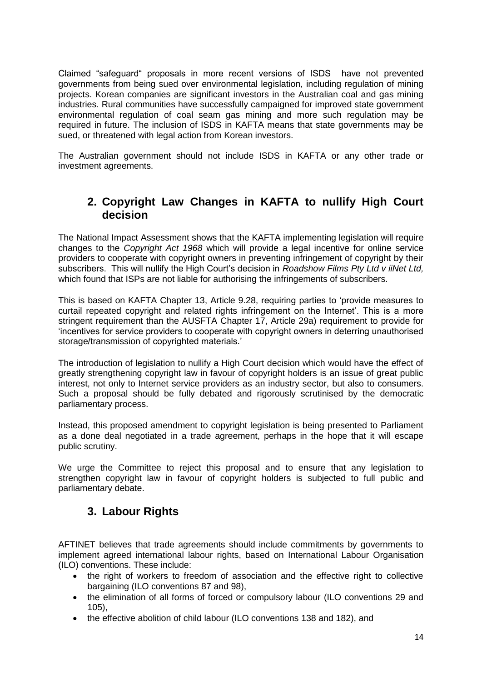Claimed "safeguard" proposals in more recent versions of ISDS have not prevented governments from being sued over environmental legislation, including regulation of mining projects. Korean companies are significant investors in the Australian coal and gas mining industries. Rural communities have successfully campaigned for improved state government environmental regulation of coal seam gas mining and more such regulation may be required in future. The inclusion of ISDS in KAFTA means that state governments may be sued, or threatened with legal action from Korean investors.

The Australian government should not include ISDS in KAFTA or any other trade or investment agreements.

## **2. Copyright Law Changes in KAFTA to nullify High Court decision**

The National Impact Assessment shows that the KAFTA implementing legislation will require changes to the *Copyright Act 1968* which will provide a legal incentive for online service providers to cooperate with copyright owners in preventing infringement of copyright by their subscribers. This will nullify the High Court's decision in *Roadshow Films Pty Ltd v iiNet Ltd,*  which found that ISPs are not liable for authorising the infringements of subscribers.

This is based on KAFTA Chapter 13, Article 9.28, requiring parties to 'provide measures to curtail repeated copyright and related rights infringement on the Internet'. This is a more stringent requirement than the AUSFTA Chapter 17, Article 29a) requirement to provide for 'incentives for service providers to cooperate with copyright owners in deterring unauthorised storage/transmission of copyrighted materials.'

The introduction of legislation to nullify a High Court decision which would have the effect of greatly strengthening copyright law in favour of copyright holders is an issue of great public interest, not only to Internet service providers as an industry sector, but also to consumers. Such a proposal should be fully debated and rigorously scrutinised by the democratic parliamentary process.

Instead, this proposed amendment to copyright legislation is being presented to Parliament as a done deal negotiated in a trade agreement, perhaps in the hope that it will escape public scrutiny.

We urge the Committee to reject this proposal and to ensure that any legislation to strengthen copyright law in favour of copyright holders is subjected to full public and parliamentary debate.

# **3. Labour Rights**

AFTINET believes that trade agreements should include commitments by governments to implement agreed international labour rights, based on International Labour Organisation (ILO) conventions. These include:

- the right of workers to freedom of association and the effective right to collective bargaining (ILO conventions 87 and 98),
- the elimination of all forms of forced or compulsory labour (ILO conventions 29 and 105),
- the effective abolition of child labour (ILO conventions 138 and 182), and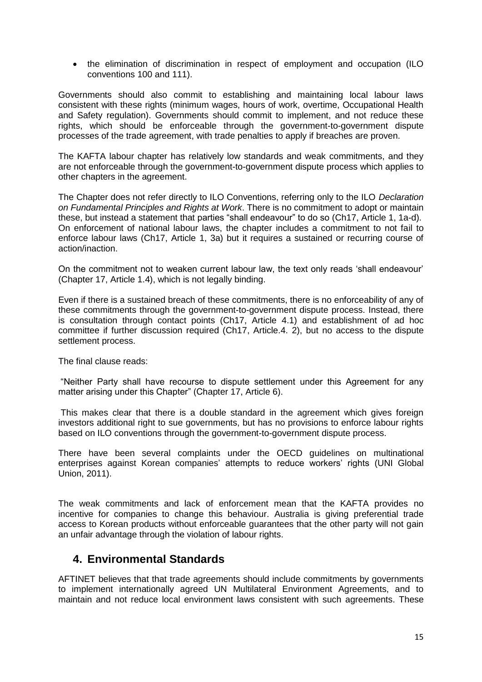• the elimination of discrimination in respect of employment and occupation (ILO conventions 100 and 111).

Governments should also commit to establishing and maintaining local labour laws consistent with these rights (minimum wages, hours of work, overtime, Occupational Health and Safety regulation). Governments should commit to implement, and not reduce these rights, which should be enforceable through the government-to-government dispute processes of the trade agreement, with trade penalties to apply if breaches are proven.

The KAFTA labour chapter has relatively low standards and weak commitments, and they are not enforceable through the government-to-government dispute process which applies to other chapters in the agreement.

The Chapter does not refer directly to ILO Conventions, referring only to the ILO *Declaration on Fundamental Principles and Rights at Work*. There is no commitment to adopt or maintain these, but instead a statement that parties "shall endeavour" to do so (Ch17, Article 1, 1a-d). On enforcement of national labour laws, the chapter includes a commitment to not fail to enforce labour laws (Ch17, Article 1, 3a) but it requires a sustained or recurring course of action/inaction.

On the commitment not to weaken current labour law, the text only reads 'shall endeavour' (Chapter 17, Article 1.4), which is not legally binding.

Even if there is a sustained breach of these commitments, there is no enforceability of any of these commitments through the government-to-government dispute process. Instead, there is consultation through contact points (Ch17, Article 4.1) and establishment of ad hoc committee if further discussion required (Ch17, Article.4. 2), but no access to the dispute settlement process.

The final clause reads:

"Neither Party shall have recourse to dispute settlement under this Agreement for any matter arising under this Chapter" (Chapter 17, Article 6).

This makes clear that there is a double standard in the agreement which gives foreign investors additional right to sue governments, but has no provisions to enforce labour rights based on ILO conventions through the government-to-government dispute process.

There have been several complaints under the OECD guidelines on multinational enterprises against Korean companies' attempts to reduce workers' rights (UNI Global Union, 2011).

The weak commitments and lack of enforcement mean that the KAFTA provides no incentive for companies to change this behaviour. Australia is giving preferential trade access to Korean products without enforceable guarantees that the other party will not gain an unfair advantage through the violation of labour rights.

### **4. Environmental Standards**

AFTINET believes that that trade agreements should include commitments by governments to implement internationally agreed UN Multilateral Environment Agreements, and to maintain and not reduce local environment laws consistent with such agreements. These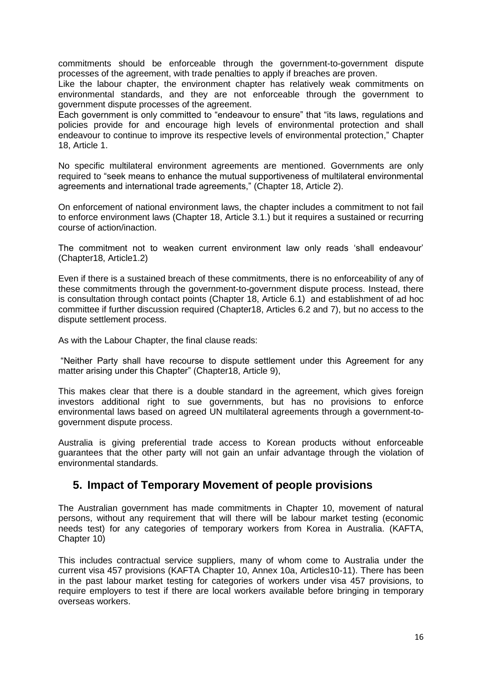commitments should be enforceable through the government-to-government dispute processes of the agreement, with trade penalties to apply if breaches are proven.

Like the labour chapter, the environment chapter has relatively weak commitments on environmental standards, and they are not enforceable through the government to government dispute processes of the agreement.

Each government is only committed to "endeavour to ensure" that "its laws, regulations and policies provide for and encourage high levels of environmental protection and shall endeavour to continue to improve its respective levels of environmental protection," Chapter 18, Article 1.

No specific multilateral environment agreements are mentioned. Governments are only required to "seek means to enhance the mutual supportiveness of multilateral environmental agreements and international trade agreements," (Chapter 18, Article 2).

On enforcement of national environment laws, the chapter includes a commitment to not fail to enforce environment laws (Chapter 18, Article 3.1.) but it requires a sustained or recurring course of action/inaction.

The commitment not to weaken current environment law only reads 'shall endeavour' (Chapter18, Article1.2)

Even if there is a sustained breach of these commitments, there is no enforceability of any of these commitments through the government-to-government dispute process. Instead, there is consultation through contact points (Chapter 18, Article 6.1) and establishment of ad hoc committee if further discussion required (Chapter18, Articles 6.2 and 7), but no access to the dispute settlement process.

As with the Labour Chapter, the final clause reads:

"Neither Party shall have recourse to dispute settlement under this Agreement for any matter arising under this Chapter" (Chapter18, Article 9),

This makes clear that there is a double standard in the agreement, which gives foreign investors additional right to sue governments, but has no provisions to enforce environmental laws based on agreed UN multilateral agreements through a government-togovernment dispute process.

Australia is giving preferential trade access to Korean products without enforceable guarantees that the other party will not gain an unfair advantage through the violation of environmental standards.

### **5. Impact of Temporary Movement of people provisions**

The Australian government has made commitments in Chapter 10, movement of natural persons, without any requirement that will there will be labour market testing (economic needs test) for any categories of temporary workers from Korea in Australia. (KAFTA, Chapter 10)

This includes contractual service suppliers, many of whom come to Australia under the current visa 457 provisions (KAFTA Chapter 10, Annex 10a, Articles10-11). There has been in the past labour market testing for categories of workers under visa 457 provisions, to require employers to test if there are local workers available before bringing in temporary overseas workers.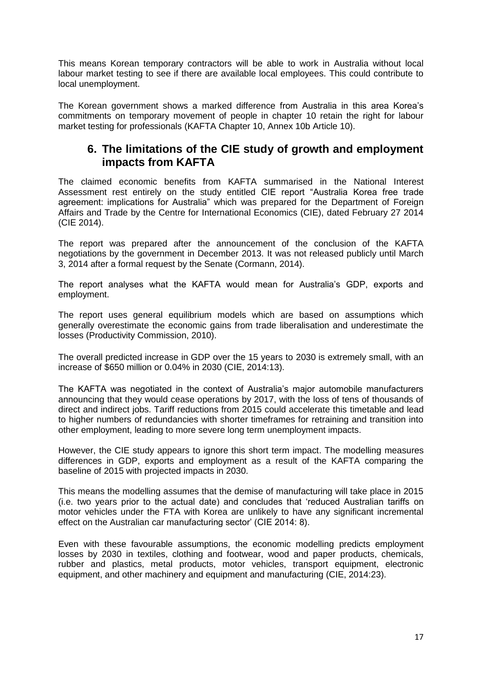This means Korean temporary contractors will be able to work in Australia without local labour market testing to see if there are available local employees. This could contribute to local unemployment.

The Korean government shows a marked difference from Australia in this area Korea's commitments on temporary movement of people in chapter 10 retain the right for labour market testing for professionals (KAFTA Chapter 10, Annex 10b Article 10).

### **6. The limitations of the CIE study of growth and employment impacts from KAFTA**

The claimed economic benefits from KAFTA summarised in the National Interest Assessment rest entirely on the study entitled CIE report "Australia Korea free trade agreement: implications for Australia" which was prepared for the Department of Foreign Affairs and Trade by the Centre for International Economics (CIE), dated February 27 2014 (CIE 2014).

The report was prepared after the announcement of the conclusion of the KAFTA negotiations by the government in December 2013. It was not released publicly until March 3, 2014 after a formal request by the Senate (Cormann, 2014).

The report analyses what the KAFTA would mean for Australia's GDP, exports and employment.

The report uses general equilibrium models which are based on assumptions which generally overestimate the economic gains from trade liberalisation and underestimate the losses (Productivity Commission, 2010).

The overall predicted increase in GDP over the 15 years to 2030 is extremely small, with an increase of \$650 million or 0.04% in 2030 (CIE, 2014:13).

The KAFTA was negotiated in the context of Australia's major automobile manufacturers announcing that they would cease operations by 2017, with the loss of tens of thousands of direct and indirect jobs. Tariff reductions from 2015 could accelerate this timetable and lead to higher numbers of redundancies with shorter timeframes for retraining and transition into other employment, leading to more severe long term unemployment impacts.

However, the CIE study appears to ignore this short term impact. The modelling measures differences in GDP, exports and employment as a result of the KAFTA comparing the baseline of 2015 with projected impacts in 2030.

This means the modelling assumes that the demise of manufacturing will take place in 2015 (i.e. two years prior to the actual date) and concludes that 'reduced Australian tariffs on motor vehicles under the FTA with Korea are unlikely to have any significant incremental effect on the Australian car manufacturing sector' (CIE 2014: 8).

Even with these favourable assumptions, the economic modelling predicts employment losses by 2030 in textiles, clothing and footwear, wood and paper products, chemicals, rubber and plastics, metal products, motor vehicles, transport equipment, electronic equipment, and other machinery and equipment and manufacturing (CIE, 2014:23).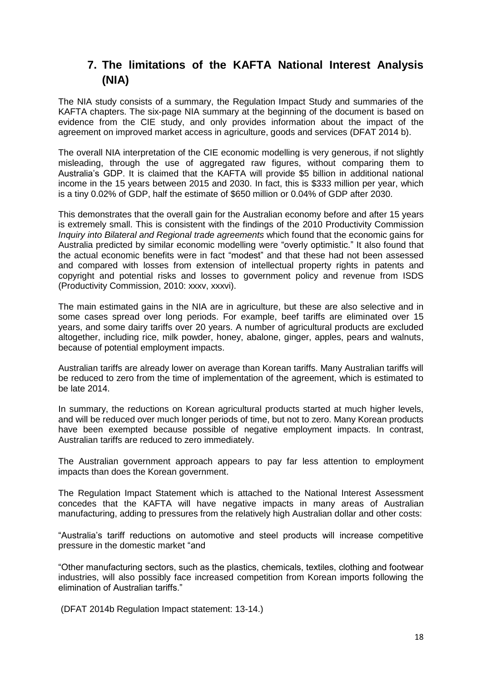# **7. The limitations of the KAFTA National Interest Analysis (NIA)**

The NIA study consists of a summary, the Regulation Impact Study and summaries of the KAFTA chapters. The six-page NIA summary at the beginning of the document is based on evidence from the CIE study, and only provides information about the impact of the agreement on improved market access in agriculture, goods and services (DFAT 2014 b).

The overall NIA interpretation of the CIE economic modelling is very generous, if not slightly misleading, through the use of aggregated raw figures, without comparing them to Australia's GDP. It is claimed that the KAFTA will provide \$5 billion in additional national income in the 15 years between 2015 and 2030. In fact, this is \$333 million per year, which is a tiny 0.02% of GDP, half the estimate of \$650 million or 0.04% of GDP after 2030.

This demonstrates that the overall gain for the Australian economy before and after 15 years is extremely small. This is consistent with the findings of the 2010 Productivity Commission *Inquiry into Bilateral and Regional trade agreements* which found that the economic gains for Australia predicted by similar economic modelling were "overly optimistic." It also found that the actual economic benefits were in fact "modest" and that these had not been assessed and compared with losses from extension of intellectual property rights in patents and copyright and potential risks and losses to government policy and revenue from ISDS (Productivity Commission, 2010: xxxv, xxxvi).

The main estimated gains in the NIA are in agriculture, but these are also selective and in some cases spread over long periods. For example, beef tariffs are eliminated over 15 years, and some dairy tariffs over 20 years. A number of agricultural products are excluded altogether, including rice, milk powder, honey, abalone, ginger, apples, pears and walnuts, because of potential employment impacts.

Australian tariffs are already lower on average than Korean tariffs. Many Australian tariffs will be reduced to zero from the time of implementation of the agreement, which is estimated to be late 2014.

In summary, the reductions on Korean agricultural products started at much higher levels, and will be reduced over much longer periods of time, but not to zero. Many Korean products have been exempted because possible of negative employment impacts. In contrast, Australian tariffs are reduced to zero immediately.

The Australian government approach appears to pay far less attention to employment impacts than does the Korean government.

The Regulation Impact Statement which is attached to the National Interest Assessment concedes that the KAFTA will have negative impacts in many areas of Australian manufacturing, adding to pressures from the relatively high Australian dollar and other costs:

"Australia's tariff reductions on automotive and steel products will increase competitive pressure in the domestic market "and

"Other manufacturing sectors, such as the plastics, chemicals, textiles, clothing and footwear industries, will also possibly face increased competition from Korean imports following the elimination of Australian tariffs."

(DFAT 2014b Regulation Impact statement: 13-14.)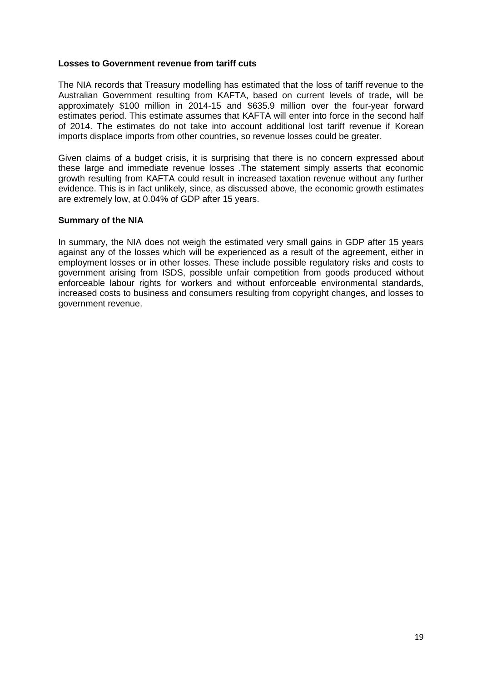#### **Losses to Government revenue from tariff cuts**

The NIA records that Treasury modelling has estimated that the loss of tariff revenue to the Australian Government resulting from KAFTA, based on current levels of trade, will be approximately \$100 million in 2014-15 and \$635.9 million over the four-year forward estimates period. This estimate assumes that KAFTA will enter into force in the second half of 2014. The estimates do not take into account additional lost tariff revenue if Korean imports displace imports from other countries, so revenue losses could be greater.

Given claims of a budget crisis, it is surprising that there is no concern expressed about these large and immediate revenue losses .The statement simply asserts that economic growth resulting from KAFTA could result in increased taxation revenue without any further evidence. This is in fact unlikely, since, as discussed above, the economic growth estimates are extremely low, at 0.04% of GDP after 15 years.

#### **Summary of the NIA**

In summary, the NIA does not weigh the estimated very small gains in GDP after 15 years against any of the losses which will be experienced as a result of the agreement, either in employment losses or in other losses. These include possible regulatory risks and costs to government arising from ISDS, possible unfair competition from goods produced without enforceable labour rights for workers and without enforceable environmental standards, increased costs to business and consumers resulting from copyright changes, and losses to government revenue.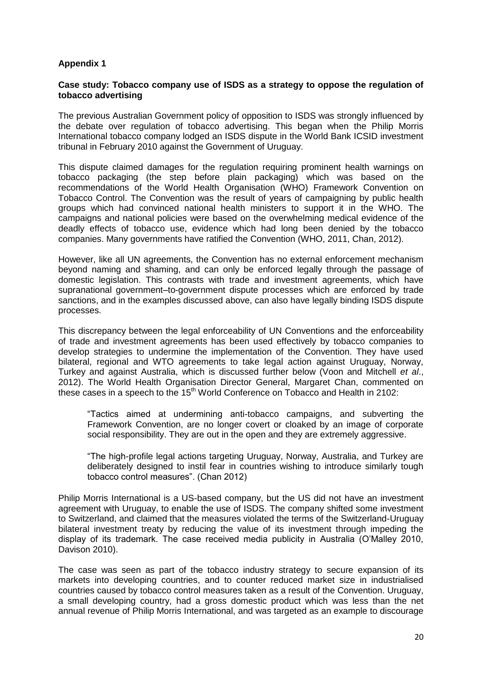#### **Appendix 1**

#### **Case study: Tobacco company use of ISDS as a strategy to oppose the regulation of tobacco advertising**

The previous Australian Government policy of opposition to ISDS was strongly influenced by the debate over regulation of tobacco advertising. This began when the Philip Morris International tobacco company lodged an ISDS dispute in the World Bank ICSID investment tribunal in February 2010 against the Government of Uruguay.

This dispute claimed damages for the regulation requiring prominent health warnings on tobacco packaging (the step before plain packaging) which was based on the recommendations of the World Health Organisation (WHO) Framework Convention on Tobacco Control. The Convention was the result of years of campaigning by public health groups which had convinced national health ministers to support it in the WHO. The campaigns and national policies were based on the overwhelming medical evidence of the deadly effects of tobacco use, evidence which had long been denied by the tobacco companies. Many governments have ratified the Convention (WHO, 2011, Chan, 2012).

However, like all UN agreements, the Convention has no external enforcement mechanism beyond naming and shaming, and can only be enforced legally through the passage of domestic legislation. This contrasts with trade and investment agreements, which have supranational government–to-government dispute processes which are enforced by trade sanctions, and in the examples discussed above, can also have legally binding ISDS dispute processes.

This discrepancy between the legal enforceability of UN Conventions and the enforceability of trade and investment agreements has been used effectively by tobacco companies to develop strategies to undermine the implementation of the Convention. They have used bilateral, regional and WTO agreements to take legal action against Uruguay, Norway, Turkey and against Australia, which is discussed further below (Voon and Mitchell *et al*., 2012). The World Health Organisation Director General, Margaret Chan, commented on these cases in a speech to the  $15<sup>th</sup>$  World Conference on Tobacco and Health in 2102:

"Tactics aimed at undermining anti-tobacco campaigns, and subverting the Framework Convention, are no longer covert or cloaked by an image of corporate social responsibility. They are out in the open and they are extremely aggressive.

"The high-profile legal actions targeting Uruguay, Norway, Australia, and Turkey are deliberately designed to instil fear in countries wishing to introduce similarly tough tobacco control measures". (Chan 2012)

Philip Morris International is a US-based company, but the US did not have an investment agreement with Uruguay, to enable the use of ISDS. The company shifted some investment to Switzerland, and claimed that the measures violated the terms of the Switzerland-Uruguay bilateral investment treaty by reducing the value of its investment through impeding the display of its trademark. The case received media publicity in Australia (O'Malley 2010, Davison 2010).

The case was seen as part of the tobacco industry strategy to secure expansion of its markets into developing countries, and to counter reduced market size in industrialised countries caused by tobacco control measures taken as a result of the Convention. Uruguay, a small developing country, had a gross domestic product which was less than the net annual revenue of Philip Morris International, and was targeted as an example to discourage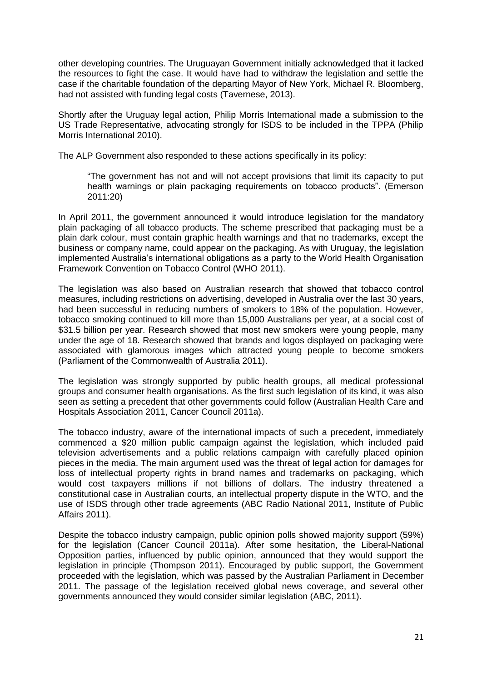other developing countries. The Uruguayan Government initially acknowledged that it lacked the resources to fight the case. It would have had to withdraw the legislation and settle the case if the charitable foundation of the departing Mayor of New York, Michael R. Bloomberg, had not assisted with funding legal costs (Tavernese, 2013).

Shortly after the Uruguay legal action, Philip Morris International made a submission to the US Trade Representative, advocating strongly for ISDS to be included in the TPPA (Philip Morris International 2010).

The ALP Government also responded to these actions specifically in its policy:

"The government has not and will not accept provisions that limit its capacity to put health warnings or plain packaging requirements on tobacco products". (Emerson 2011:20)

In April 2011, the government announced it would introduce legislation for the mandatory plain packaging of all tobacco products. The scheme prescribed that packaging must be a plain dark colour, must contain graphic health warnings and that no trademarks, except the business or company name, could appear on the packaging. As with Uruguay, the legislation implemented Australia's international obligations as a party to the World Health Organisation Framework Convention on Tobacco Control (WHO 2011).

The legislation was also based on Australian research that showed that tobacco control measures, including restrictions on advertising, developed in Australia over the last 30 years, had been successful in reducing numbers of smokers to 18% of the population. However, tobacco smoking continued to kill more than 15,000 Australians per year, at a social cost of \$31.5 billion per year. Research showed that most new smokers were young people, many under the age of 18. Research showed that brands and logos displayed on packaging were associated with glamorous images which attracted young people to become smokers (Parliament of the Commonwealth of Australia 2011).

The legislation was strongly supported by public health groups, all medical professional groups and consumer health organisations. As the first such legislation of its kind, it was also seen as setting a precedent that other governments could follow (Australian Health Care and Hospitals Association 2011, Cancer Council 2011a).

The tobacco industry, aware of the international impacts of such a precedent, immediately commenced a \$20 million public campaign against the legislation, which included paid television advertisements and a public relations campaign with carefully placed opinion pieces in the media. The main argument used was the threat of legal action for damages for loss of intellectual property rights in brand names and trademarks on packaging, which would cost taxpayers millions if not billions of dollars. The industry threatened a constitutional case in Australian courts, an intellectual property dispute in the WTO, and the use of ISDS through other trade agreements (ABC Radio National 2011, Institute of Public Affairs 2011).

Despite the tobacco industry campaign, public opinion polls showed majority support (59%) for the legislation (Cancer Council 2011a). After some hesitation, the Liberal-National Opposition parties, influenced by public opinion, announced that they would support the legislation in principle (Thompson 2011). Encouraged by public support, the Government proceeded with the legislation, which was passed by the Australian Parliament in December 2011. The passage of the legislation received global news coverage, and several other governments announced they would consider similar legislation (ABC, 2011).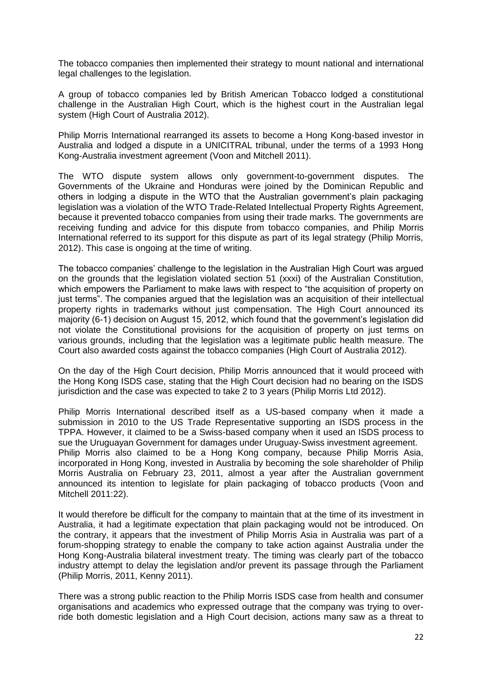The tobacco companies then implemented their strategy to mount national and international legal challenges to the legislation.

A group of tobacco companies led by British American Tobacco lodged a constitutional challenge in the Australian High Court, which is the highest court in the Australian legal system (High Court of Australia 2012).

Philip Morris International rearranged its assets to become a Hong Kong-based investor in Australia and lodged a dispute in a UNICITRAL tribunal, under the terms of a 1993 Hong Kong-Australia investment agreement (Voon and Mitchell 2011).

The WTO dispute system allows only government-to-government disputes. The Governments of the Ukraine and Honduras were joined by the Dominican Republic and others in lodging a dispute in the WTO that the Australian government's plain packaging legislation was a violation of the WTO Trade-Related Intellectual Property Rights Agreement, because it prevented tobacco companies from using their trade marks. The governments are receiving funding and advice for this dispute from tobacco companies, and Philip Morris International referred to its support for this dispute as part of its legal strategy (Philip Morris, 2012). This case is ongoing at the time of writing.

The tobacco companies' challenge to the legislation in the Australian High Court was argued on the grounds that the legislation violated section 51 (xxxi) of the Australian Constitution, which empowers the Parliament to make laws with respect to "the acquisition of property on just terms". The companies argued that the legislation was an acquisition of their intellectual property rights in trademarks without just compensation. The High Court announced its majority (6-1) decision on August 15, 2012, which found that the government's legislation did not violate the Constitutional provisions for the acquisition of property on just terms on various grounds, including that the legislation was a legitimate public health measure. The Court also awarded costs against the tobacco companies (High Court of Australia 2012).

On the day of the High Court decision, Philip Morris announced that it would proceed with the Hong Kong ISDS case, stating that the High Court decision had no bearing on the ISDS jurisdiction and the case was expected to take 2 to 3 years (Philip Morris Ltd 2012).

Philip Morris International described itself as a US-based company when it made a submission in 2010 to the US Trade Representative supporting an ISDS process in the TPPA. However, it claimed to be a Swiss-based company when it used an ISDS process to sue the Uruguayan Government for damages under Uruguay-Swiss investment agreement. Philip Morris also claimed to be a Hong Kong company, because Philip Morris Asia, incorporated in Hong Kong, invested in Australia by becoming the sole shareholder of Philip Morris Australia on February 23, 2011, almost a year after the Australian government announced its intention to legislate for plain packaging of tobacco products (Voon and Mitchell 2011:22).

It would therefore be difficult for the company to maintain that at the time of its investment in Australia, it had a legitimate expectation that plain packaging would not be introduced. On the contrary, it appears that the investment of Philip Morris Asia in Australia was part of a forum-shopping strategy to enable the company to take action against Australia under the Hong Kong-Australia bilateral investment treaty. The timing was clearly part of the tobacco industry attempt to delay the legislation and/or prevent its passage through the Parliament (Philip Morris, 2011, Kenny 2011).

There was a strong public reaction to the Philip Morris ISDS case from health and consumer organisations and academics who expressed outrage that the company was trying to override both domestic legislation and a High Court decision, actions many saw as a threat to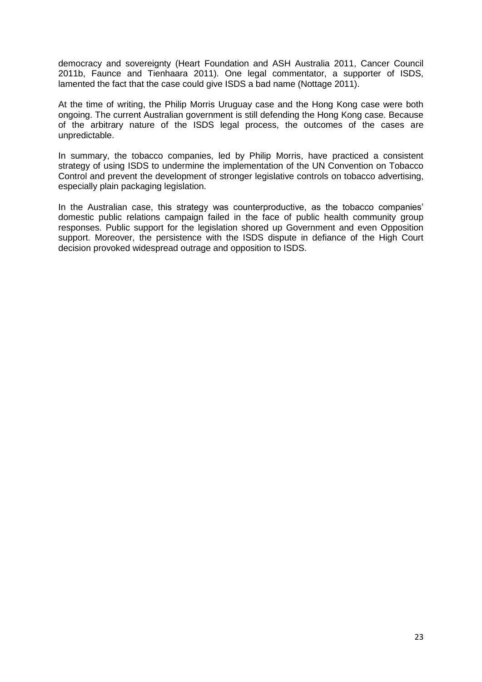democracy and sovereignty (Heart Foundation and ASH Australia 2011, Cancer Council 2011b, Faunce and Tienhaara 2011). One legal commentator, a supporter of ISDS, lamented the fact that the case could give ISDS a bad name (Nottage 2011).

At the time of writing, the Philip Morris Uruguay case and the Hong Kong case were both ongoing. The current Australian government is still defending the Hong Kong case. Because of the arbitrary nature of the ISDS legal process, the outcomes of the cases are unpredictable.

In summary, the tobacco companies, led by Philip Morris, have practiced a consistent strategy of using ISDS to undermine the implementation of the UN Convention on Tobacco Control and prevent the development of stronger legislative controls on tobacco advertising, especially plain packaging legislation.

In the Australian case, this strategy was counterproductive, as the tobacco companies' domestic public relations campaign failed in the face of public health community group responses. Public support for the legislation shored up Government and even Opposition support. Moreover, the persistence with the ISDS dispute in defiance of the High Court decision provoked widespread outrage and opposition to ISDS.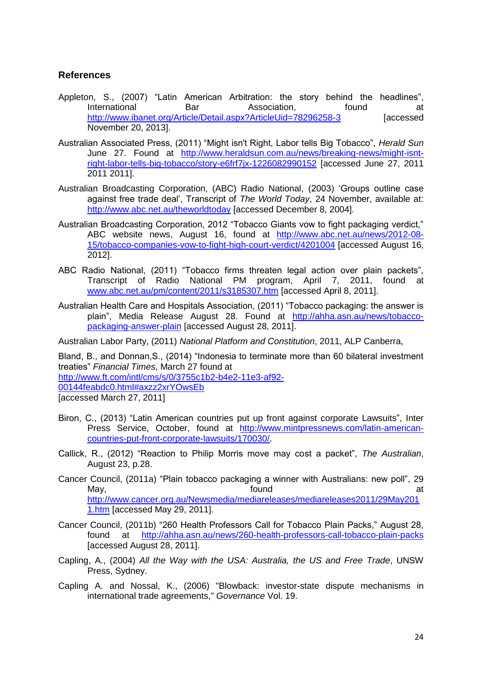#### **References**

- Appleton, S., (2007) "Latin American Arbitration: the story behind the headlines", International Bar Basociation, found at <http://www.ibanet.org/Article/Detail.aspx?ArticleUid=78296258-3> [accessed November 20, 2013].
- Australian Associated Press, (2011) "Might isn't Right, Labor tells Big Tobacco", *Herald Sun* June 27. Found at [http://www.heraldsun.com.au/news/breaking-news/might-isnt](http://www.heraldsun.com.au/news/breaking-news/might-isnt-right-labor-tells-big-tobacco/story-e6frf7jx-1226082990152)[right-labor-tells-big-tobacco/story-e6frf7jx-1226082990152](http://www.heraldsun.com.au/news/breaking-news/might-isnt-right-labor-tells-big-tobacco/story-e6frf7jx-1226082990152) [accessed June 27, 2011 2011 2011].
- Australian Broadcasting Corporation, (ABC) Radio National, (2003) 'Groups outline case against free trade deal', Transcript of *The World Today*, 24 November, available at: <http://www.abc.net.au/theworldtoday> [accessed December 8, 2004].
- Australian Broadcasting Corporation, 2012 "Tobacco Giants vow to fight packaging verdict," ABC website news, August 16, found at [http://www.abc.net.au/news/2012-08-](http://www.abc.net.au/news/2012-08-15/tobacco-companies-vow-to-fight-high-court-verdict/4201004) [15/tobacco-companies-vow-to-fight-high-court-verdict/4201004](http://www.abc.net.au/news/2012-08-15/tobacco-companies-vow-to-fight-high-court-verdict/4201004) [accessed August 16, 2012].
- ABC Radio National, (2011) "Tobacco firms threaten legal action over plain packets", Transcript of Radio National PM program, April 7, 2011, found at [www.abc.net.au/pm/content/2011/s3185307.htm](http://www.abc.net.au/pm/content/2011/s3185307.htm) [accessed April 8, 2011].
- Australian Health Care and Hospitals Association, (2011) "Tobacco packaging: the answer is plain", Media Release August 28. Found at [http://ahha.asn.au/news/tobacco](http://ahha.asn.au/news/tobacco-packaging-answer-plain)[packaging-answer-plain](http://ahha.asn.au/news/tobacco-packaging-answer-plain) [accessed August 28, 2011].

Australian Labor Party, (2011) *National Platform and Constitution*, 2011, ALP Canberra,

Bland, B., and Donnan,S., (2014) "Indonesia to terminate more than 60 bilateral investment treaties" *Financial Times*, March 27 found at

[http://www.ft.com/intl/cms/s/0/3755c1b2-b4e2-11e3-af92-](http://www.ft.com/intl/cms/s/0/3755c1b2-b4e2-11e3-af92-00144feabdc0.html#axzz2xrYOwsEb)

[00144feabdc0.html#axzz2xrYOwsEb](http://www.ft.com/intl/cms/s/0/3755c1b2-b4e2-11e3-af92-00144feabdc0.html#axzz2xrYOwsEb)

[accessed March 27, 2011]

- Biron, C., (2013) "Latin American countries put up front against corporate Lawsuits", Inter Press Service, October, found at [http://www.mintpressnews.com/latin-american](http://www.mintpressnews.com/latin-american-countries-put-front-corporate-lawsuits/170030/)[countries-put-front-corporate-lawsuits/170030/.](http://www.mintpressnews.com/latin-american-countries-put-front-corporate-lawsuits/170030/)
- Callick, R., (2012) "Reaction to Philip Morris move may cost a packet", *The Australian*, August 23, p.28.
- Cancer Council, (2011a) "Plain tobacco packaging a winner with Australians: new poll", 29 May, the contract of the contract of the found  $\qquad \qquad$  at [http://www.cancer.org.au/Newsmedia/mediareleases/mediareleases2011/29May201](http://www.cancer.org.au/Newsmedia/mediareleases/mediareleases2011/29May2011.htm) [1.htm](http://www.cancer.org.au/Newsmedia/mediareleases/mediareleases2011/29May2011.htm) [accessed May 29, 2011].
- Cancer Council, (2011b) "260 Health Professors Call for Tobacco Plain Packs," August 28, found at <http://ahha.asn.au/news/260-health-professors-call-tobacco-plain-packs> [accessed August 28, 2011].
- Capling, A., (2004) *All the Way with the USA: Australia, the US and Free Trade*, UNSW Press, Sydney.
- Capling A. and Nossal, K., (2006) "Blowback: investor-state dispute mechanisms in international trade agreements," *Governance* Vol. 19.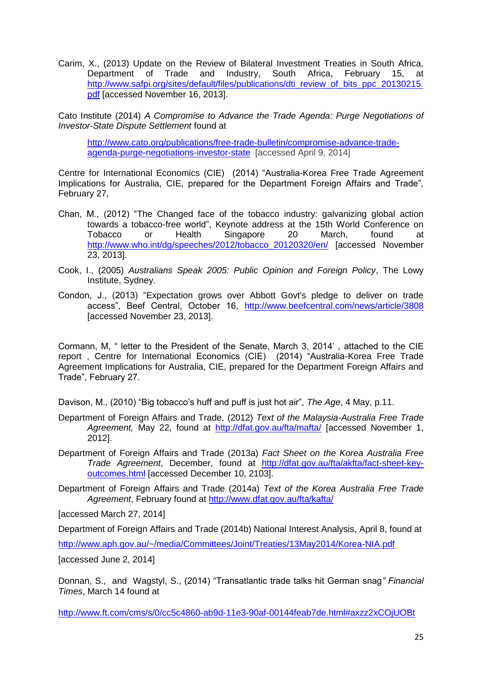Carim, X., (2013) Update on the Review of Bilateral Investment Treaties in South Africa, Department of Trade and Industry, South Africa, February 15, at [http://www.safpi.org/sites/default/files/publications/dti\\_review\\_of\\_bits\\_ppc\\_20130215.](http://www.safpi.org/sites/default/files/publications/dti_review_of_bits_ppc_20130215.pdf) [pdf](http://www.safpi.org/sites/default/files/publications/dti_review_of_bits_ppc_20130215.pdf) [accessed November 16, 2013].

Cato Institute (2014) *A Compromise to Advance the Trade Agenda: Purge Negotiations of Investor-State Dispute Settlement* found at

[http://www.cato.org/publications/free-trade-bulletin/compromise-advance-trade](http://www.cato.org/publications/free-trade-bulletin/compromise-advance-trade-agenda-purge-negotiations-investor-state)[agenda-purge-negotiations-investor-state](http://www.cato.org/publications/free-trade-bulletin/compromise-advance-trade-agenda-purge-negotiations-investor-state) [accessed April 9, 2014]

Centre for International Economics (CIE) (2014) "Australia-Korea Free Trade Agreement Implications for Australia, CIE, prepared for the Department Foreign Affairs and Trade", February 27,

- Chan, M., (2012) "The Changed face of the tobacco industry: galvanizing global action towards a tobacco-free world", Keynote address at the 15th World Conference on Tobacco or Health Singapore 20 March, found at [http://www.who.int/dg/speeches/2012/tobacco\\_20120320/en/](http://www.who.int/dg/speeches/2012/tobacco_20120320/en/) [accessed November 23, 2013].
- Cook, I., (2005) *Australians Speak 2005: Public Opinion and Foreign Policy*, The Lowy Institute, Sydney.
- Condon, J., (2013) "Expectation grows over Abbott Govt's pledge to deliver on trade access", Beef Central, October 16, <http://www.beefcentral.com/news/article/3808> [accessed November 23, 2013].

Cormann, M, " letter to the President of the Senate, March 3, 2014' , attached to the CIE report , Centre for International Economics (CIE) (2014) "Australia-Korea Free Trade Agreement Implications for Australia, CIE, prepared for the Department Foreign Affairs and Trade", February 27.

Davison, M., (2010) "Big tobacco's huff and puff is just hot air", *The Age*, 4 May, p.11.

- Department of Foreign Affairs and Trade, (2012) *Text of the Malaysia-Australia Free Trade Agreement,* May 22, found at <http://dfat.gov.au/fta/mafta/> [accessed November 1, 2012].
- Department of Foreign Affairs and Trade (2013a) *Fact Sheet on the Korea Australia Free Trade Agreement*, December, found at [http://dfat.gov.au/fta/akfta/fact-sheet-key](http://dfat.gov.au/fta/akfta/fact-sheet-key-outcomes.html)[outcomes.html](http://dfat.gov.au/fta/akfta/fact-sheet-key-outcomes.html) [accessed December 10, 2103].

Department of Foreign Affairs and Trade (2014a) *Text of the Korea Australia Free Trade Agreement*, February found at<http://www.dfat.gov.au/fta/kafta/>

[accessed March 27, 2014]

Department of Foreign Affairs and Trade (2014b) National Interest Analysis, April 8, found at

<http://www.aph.gov.au/~/media/Committees/Joint/Treaties/13May2014/Korea-NIA.pdf>

[accessed June 2, 2014]

Donnan, S., and Wagstyl, S., (2014) "Transatlantic trade talks hit German snag*" Financial Times*, March 14 found at

<http://www.ft.com/cms/s/0/cc5c4860-ab9d-11e3-90af-00144feab7de.html#axzz2xCOjUOBt>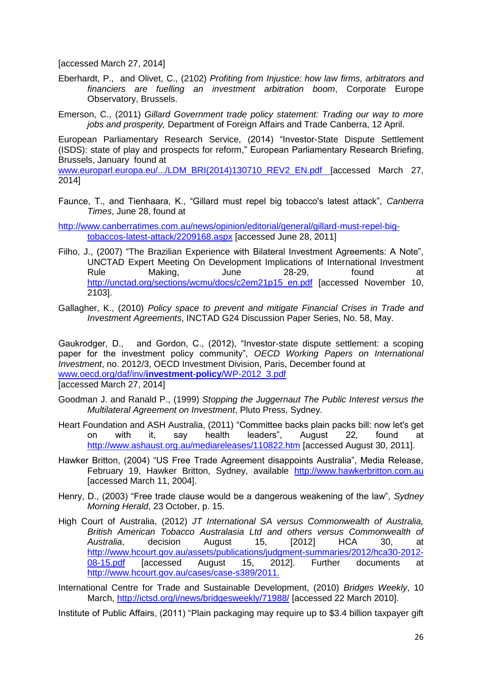[accessed March 27, 2014]

- Eberhardt, P., and Olivet, C., (2102) *Profiting from Injustice: how law firms, arbitrators and financiers are fuelling an investment arbitration boom*, Corporate Europe Observatory, Brussels.
- Emerson, C., (2011) *Gillard Government trade policy statement: Trading our way to more jobs and prosperity,* Department of Foreign Affairs and Trade Canberra, 12 April.

European Parliamentary Research Service, (2014) "Investor-State Dispute Settlement (ISDS): state of play and prospects for reform," European Parliamentary Research Briefing, Brussels, January found at

[www.europarl.europa.eu/.../LDM\\_BRI\(2014\)130710\\_REV2\\_EN.pdf](http://www.europarl.europa.eu/.../LDM_BRI(2014)130710_REV2_EN.pdf) [accessed March 27, 2014]

Faunce, T., and Tienhaara, K., "Gillard must repel big tobacco's latest attack", *Canberra Times*, June 28, found at

[http://www.canberratimes.com.au/news/opinion/editorial/general/gillard-must-repel-big](http://www.canberratimes.com.au/news/opinion/editorial/general/gillard-must-repel-big-tobaccos-latest-attack/2209168.aspx)[tobaccos-latest-attack/2209168.aspx](http://www.canberratimes.com.au/news/opinion/editorial/general/gillard-must-repel-big-tobaccos-latest-attack/2209168.aspx) [accessed June 28, 2011]

- Filho, J., (2007) "The Brazilian Experience with Bilateral Investment Agreements: A Note", UNCTAD Expert Meeting On Development Implications of International Investment Rule Making, June 28-29, found at [http://unctad.org/sections/wcmu/docs/c2em21p15\\_en.pdf](http://unctad.org/sections/wcmu/docs/c2em21p15_en.pdf) [accessed November 10, 2103].
- Gallagher, K., (2010) *Policy space to prevent and mitigate Financial Crises in Trade and Investment Agreements*, INCTAD G24 Discussion Paper Series, No. 58, May.

Gaukrodger, D., and Gordon, C., (2012), "Investor-state dispute settlement: a scoping paper for the investment policy community", *OECD Working Papers on International Investment*, no. 2012/3, OECD Investment Division, Paris, December found at [www.oecd.org/daf/inv/](http://www.oecd.org/daf/inv/investment-policy/WP-2012_3.pdf)**investment**-**policy**/WP-2012\_3.pdf

[accessed March 27, 2014]

- Goodman J. and Ranald P., (1999) *Stopping the Juggernaut The Public Interest versus the Multilateral Agreement on Investment*, Pluto Press, Sydney.
- Heart Foundation and ASH Australia, (2011) "Committee backs plain packs bill: now let's get on with it, say health leaders", August 22, found at <http://www.ashaust.org.au/mediareleases/110822.htm> [accessed August 30, 2011].
- Hawker Britton, (2004) "US Free Trade Agreement disappoints Australia", Media Release, February 19, Hawker Britton, Sydney, available [http://www.hawkerbritton.com.au](http://www.hawkerbritton.com.au/) [accessed March 11, 2004].
- Henry, D., (2003) "Free trade clause would be a dangerous weakening of the law", *Sydney Morning Herald*, 23 October, p. 15.
- High Court of Australia, (2012) *JT International SA versus Commonwealth of Australia, British American Tobacco Australasia Ltd and others versus Commonwealth of Australia*, decision August 15, [2012] HCA 30, at [http://www.hcourt.gov.au/assets/publications/judgment-summaries/2012/hca30-2012-](http://www.hcourt.gov.au/assets/publications/judgment-summaries/2012/hca30-2012-08-15.pdf) [08-15.pdf](http://www.hcourt.gov.au/assets/publications/judgment-summaries/2012/hca30-2012-08-15.pdf) [accessed August 15, 2012]. Further documents at [http://www.hcourt.gov.au/cases/case-s389/2011.](http://www.hcourt.gov.au/cases/case-s389/2011)

International Centre for Trade and Sustainable Development, (2010) *Bridges Weekly*, 10 March,<http://ictsd.org/i/news/bridgesweekly/71988/> [accessed 22 March 2010].

Institute of Public Affairs, (2011) "Plain packaging may require up to \$3.4 billion taxpayer gift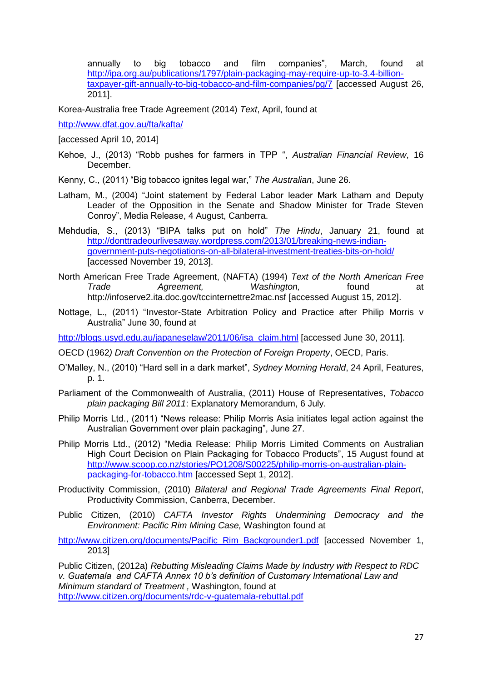annually to big tobacco and film companies", March, found at [http://ipa.org.au/publications/1797/plain-packaging-may-require-up-to-3.4-billion](http://ipa.org.au/publications/1797/plain-packaging-may-require-up-to-3.4-billion-taxpayer-gift-annually-to-big-tobacco-and-film-companies/pg/7)[taxpayer-gift-annually-to-big-tobacco-and-film-companies/pg/7](http://ipa.org.au/publications/1797/plain-packaging-may-require-up-to-3.4-billion-taxpayer-gift-annually-to-big-tobacco-and-film-companies/pg/7) [accessed August 26, 2011].

Korea-Australia free Trade Agreement (2014) *Text*, April, found at

<http://www.dfat.gov.au/fta/kafta/>

[accessed April 10, 2014]

Kehoe, J., (2013) "Robb pushes for farmers in TPP ", *Australian Financial Review*, 16 December.

Kenny, C., (2011) "Big tobacco ignites legal war," *The Australian*, June 26.

- Latham, M., (2004) "Joint statement by Federal Labor leader Mark Latham and Deputy Leader of the Opposition in the Senate and Shadow Minister for Trade Steven Conroy", Media Release, 4 August, Canberra.
- Mehdudia, S., (2013) "BIPA talks put on hold" *The Hindu*, January 21, found at [http://donttradeourlivesaway.wordpress.com/2013/01/breaking-news-indian](http://donttradeourlivesaway.wordpress.com/2013/01/breaking-news-indian-government-puts-negotiations-on-all-bilateral-investment-treaties-bits-on-hold/)[government-puts-negotiations-on-all-bilateral-investment-treaties-bits-on-hold/](http://donttradeourlivesaway.wordpress.com/2013/01/breaking-news-indian-government-puts-negotiations-on-all-bilateral-investment-treaties-bits-on-hold/) [accessed November 19, 2013].
- North American Free Trade Agreement, (NAFTA) (1994) *Text of the North American Free Trade Agreement, Washington,* found at http://infoserve2.ita.doc.gov/tccinternettre2mac.nsf [accessed August 15, 2012].
- Nottage, L., (2011) ["Investor-State Arbitration Policy and Practice after Philip Morris v](http://blogs.usyd.edu.au/japaneselaw/2011/06/isa_claim.html)  [Australia"](http://blogs.usyd.edu.au/japaneselaw/2011/06/isa_claim.html) June 30, found at

[http://blogs.usyd.edu.au/japaneselaw/2011/06/isa\\_claim.html](http://blogs.usyd.edu.au/japaneselaw/2011/06/isa_claim.html) [accessed June 30, 2011].

OECD (1962*) Draft Convention on the Protection of Foreign Property*, OECD, Paris.

- O'Malley, N., (2010) "Hard sell in a dark market", *Sydney Morning Herald*, 24 April, Features, p. 1.
- Parliament of the Commonwealth of Australia, (2011) House of Representatives, *Tobacco plain packaging Bill 2011*: Explanatory Memorandum, 6 July.
- Philip Morris Ltd., (2011) "News release: Philip Morris Asia initiates legal action against the Australian Government over plain packaging", June 27.
- Philip Morris Ltd., (2012) "Media Release: Philip Morris Limited Comments on Australian High Court Decision on Plain Packaging for Tobacco Products", 15 August found at [http://www.scoop.co.nz/stories/PO1208/S00225/philip-morris-on-australian-plain](http://www.scoop.co.nz/stories/PO1208/S00225/philip-morris-on-australian-plain-packaging-for-tobacco.htm)[packaging-for-tobacco.htm](http://www.scoop.co.nz/stories/PO1208/S00225/philip-morris-on-australian-plain-packaging-for-tobacco.htm) [accessed Sept 1, 2012].
- Productivity Commission, (2010) *Bilateral and Regional Trade Agreements Final Report*, Productivity Commission, Canberra, December.
- Public Citizen, (2010) *CAFTA Investor Rights Undermining Democracy and the Environment: Pacific Rim Mining Case,* Washington found at

[http://www.citizen.org/documents/Pacific\\_Rim\\_Backgrounder1.pdf](http://www.citizen.org/documents/Pacific_Rim_Backgrounder1.pdf) [accessed November 1, 2013]

Public Citizen, (2012a) *Rebutting Misleading Claims Made by Industry with Respect to RDC v. Guatemala and CAFTA Annex 10 b's definition of Customary International Law and Minimum standard of Treatment ,* Washington, found at <http://www.citizen.org/documents/rdc-v-guatemala-rebuttal.pdf>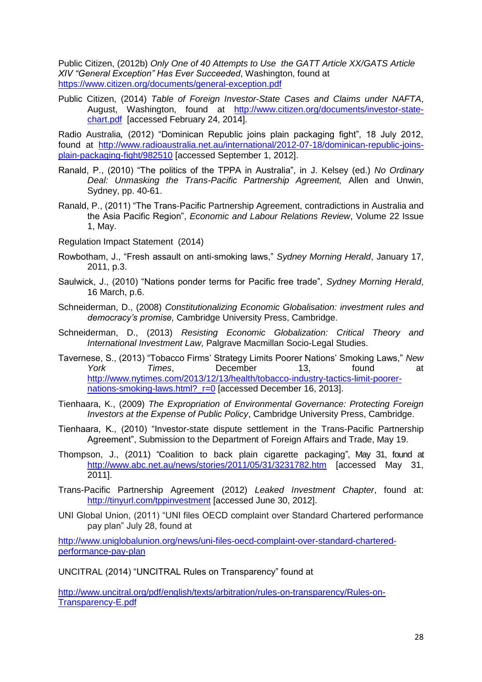Public Citizen, (2012b) *Only One of 40 Attempts to Use the GATT Article XX/GATS Article XIV "General Exception" Has Ever Succeeded*, Washington, found at <https://www.citizen.org/documents/general-exception.pdf>

Public Citizen, (2014) *Table of Foreign Investor-State Cases and Claims under NAFTA*, August, Washington, found at [http://www.citizen.org/documents/investor-state](http://www.citizen.org/documents/investor-state-chart.pdf)[chart.pdf](http://www.citizen.org/documents/investor-state-chart.pdf) [accessed February 24, 2014].

Radio Australia*,* (2012) "Dominican Republic joins plain packaging fight", 18 July 2012, found at [http://www.radioaustralia.net.au/international/2012-07-18/dominican-republic-joins](http://www.radioaustralia.net.au/international/2012-07-18/dominican-republic-joins-plain-packaging-fight/982510)[plain-packaging-fight/982510](http://www.radioaustralia.net.au/international/2012-07-18/dominican-republic-joins-plain-packaging-fight/982510) [accessed September 1, 2012].

- Ranald, P., (2010) "The politics of the TPPA in Australia", in J. Kelsey (ed.) *No Ordinary Deal: Unmasking the Trans-Pacific Partnership Agreement,* Allen and Unwin, Sydney, pp. 40-61.
- Ranald, P., (2011) "The Trans-Pacific Partnership Agreement, contradictions in Australia and the Asia Pacific Region", *Economic and Labour Relations Review*, Volume 22 Issue 1, May.
- Regulation Impact Statement (2014)
- Rowbotham, J., "Fresh assault on anti-smoking laws," *Sydney Morning Herald*, January 17, 2011, p.3.
- Saulwick, J., (2010) "Nations ponder terms for Pacific free trade", *Sydney Morning Herald*, 16 March, p.6.
- Schneiderman, D., (2008) *Constitutionalizing Economic Globalisation: investment rules and democracy's promise,* Cambridge University Press, Cambridge.
- Schneiderman, D., (2013) *Resisting Economic Globalization: Critical Theory and International Investment Law,* Palgrave Macmillan Socio-Legal Studies.
- Tavernese, S., (2013) "Tobacco Firms' Strategy Limits Poorer Nations' Smoking Laws," *New York Times*, December 13, found at [http://www.nytimes.com/2013/12/13/health/tobacco-industry-tactics-limit-poorer](http://www.nytimes.com/2013/12/13/health/tobacco-industry-tactics-limit-poorer-nations-smoking-laws.html?_r=0)nations-smoking-laws.html? r=0 [accessed December 16, 2013].
- Tienhaara, K., (2009) *The Expropriation of Environmental Governance: Protecting Foreign Investors at the Expense of Public Policy*, Cambridge University Press, Cambridge.
- Tienhaara, K., (2010) "Investor-state dispute settlement in the Trans-Pacific Partnership Agreement", Submission to the Department of Foreign Affairs and Trade, May 19.
- Thompson, J., (2011) "Coalition to back plain cigarette packaging", May 31, found at <http://www.abc.net.au/news/stories/2011/05/31/3231782.htm> [accessed May 31, 2011].
- Trans-Pacific Partnership Agreement (2012) *Leaked Investment Chapter*, found at: [http://tinyurl.com/tppinvestment](http://www.citizenstrade.org/ctc/wp-content/uploads/2012/06/tppinvestment.pdf) [accessed June 30, 2012].
- UNI Global Union, (2011) "UNI files OECD complaint over Standard Chartered performance pay plan" July 28, found at

[http://www.uniglobalunion.org/news/uni-files-oecd-complaint-over-standard-chartered](http://www.uniglobalunion.org/news/uni-files-oecd-complaint-over-standard-chartered-performance-pay-plan)[performance-pay-plan](http://www.uniglobalunion.org/news/uni-files-oecd-complaint-over-standard-chartered-performance-pay-plan)

UNCITRAL (2014) "UNCITRAL Rules on Transparency" found at

[http://www.uncitral.org/pdf/english/texts/arbitration/rules-on-transparency/Rules-on-](http://www.uncitral.org/pdf/english/texts/arbitration/rules-on-transparency/Rules-on-Transparency-E.pdf)[Transparency-E.pdf](http://www.uncitral.org/pdf/english/texts/arbitration/rules-on-transparency/Rules-on-Transparency-E.pdf)